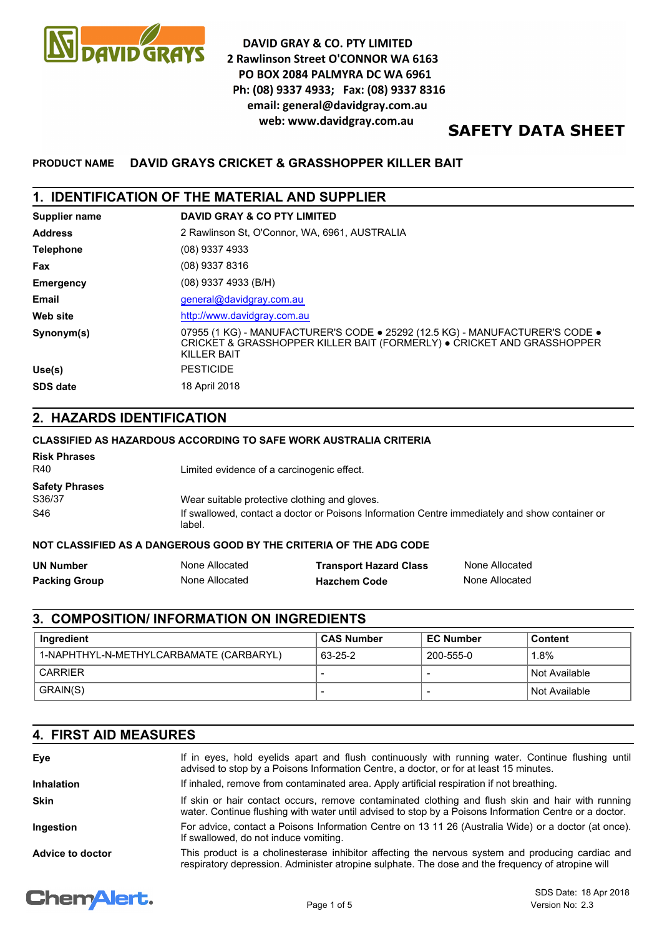

**DAVID GRAY & CO. PTY LIMITED** 2 Rawlinson Street O'CONNOR WA 6163 PO BOX 2084 PALMYRA DC WA 6961 Ph: (08) 9337 4933; Fax: (08) 9337 8316 email: general@davidgray.com.au web: www.davidgray.com.au

# **SAFETY DATA SHEET**

# **PRODUCT NAME DAVID GRAYS CRICKET & GRASSHOPPER KILLER BAIT**

# **1. IDENTIFICATION OF THE MATERIAL AND SUPPLIER**

| Supplier name    | <b>DAVID GRAY &amp; CO PTY LIMITED</b>                                                                                                                                       |
|------------------|------------------------------------------------------------------------------------------------------------------------------------------------------------------------------|
| <b>Address</b>   | 2 Rawlinson St. O'Connor, WA, 6961, AUSTRALIA                                                                                                                                |
| <b>Telephone</b> | (08) 9337 4933                                                                                                                                                               |
| Fax              | (08) 9337 8316                                                                                                                                                               |
| <b>Emergency</b> | $(08)$ 9337 4933 (B/H)                                                                                                                                                       |
| Email            | general@davidgray.com.au                                                                                                                                                     |
| Web site         | http://www.davidgray.com.au                                                                                                                                                  |
| Synonym(s)       | 07955 (1 KG) - MANUFACTURER'S CODE . 25292 (12.5 KG) - MANUFACTURER'S CODE .<br>CRICKET & GRASSHOPPER KILLER BAIT (FORMERLY) . CRICKET AND GRASSHOPPER<br><b>KILLER BAIT</b> |
| Use(s)           | <b>PESTICIDE</b>                                                                                                                                                             |
| <b>SDS date</b>  | 18 April 2018                                                                                                                                                                |

# **2. HAZARDS IDENTIFICATION**

### **CLASSIFIED AS HAZARDOUS ACCORDING TO SAFE WORK AUSTRALIA CRITERIA**

| <b>Risk Phrases</b><br>R40      | Limited evidence of a carcinogenic effect.                                                               |
|---------------------------------|----------------------------------------------------------------------------------------------------------|
| <b>Safety Phrases</b><br>S36/37 | Wear suitable protective clothing and gloves.                                                            |
| S46                             | If swallowed, contact a doctor or Poisons Information Centre immediately and show container or<br>label. |

## **NOT CLASSIFIED AS A DANGEROUS GOOD BY THE CRITERIA OF THE ADG CODE**

| UN Number     | None Allocated | <b>Transport Hazard Class</b> | None Allocated |
|---------------|----------------|-------------------------------|----------------|
| Packing Group | None Allocated | <b>Hazchem Code</b>           | None Allocated |

# **3. COMPOSITION/ INFORMATION ON INGREDIENTS**

| Ingredient                              | <b>CAS Number</b> | <b>EC Number</b> | Content         |
|-----------------------------------------|-------------------|------------------|-----------------|
| 1-NAPHTHYL-N-METHYLCARBAMATE (CARBARYL) | 63-25-2           | 200-555-0        | 1.8%            |
| <b>CARRIER</b>                          |                   |                  | Not Available   |
| GRAIN(S)                                | -                 |                  | l Not Available |

# **4. FIRST AID MEASURES**

| Eye               | If in eyes, hold eyelids apart and flush continuously with running water. Continue flushing until<br>advised to stop by a Poisons Information Centre, a doctor, or for at least 15 minutes.                 |
|-------------------|-------------------------------------------------------------------------------------------------------------------------------------------------------------------------------------------------------------|
| <b>Inhalation</b> | If inhaled, remove from contaminated area. Apply artificial respiration if not breathing.                                                                                                                   |
| <b>Skin</b>       | If skin or hair contact occurs, remove contaminated clothing and flush skin and hair with running<br>water. Continue flushing with water until advised to stop by a Poisons Information Centre or a doctor. |
| Ingestion         | For advice, contact a Poisons Information Centre on 13 11 26 (Australia Wide) or a doctor (at once).<br>If swallowed, do not induce vomiting.                                                               |
| Advice to doctor  | This product is a cholinesterase inhibitor affecting the nervous system and producing cardiac and<br>respiratory depression. Administer atropine sulphate. The dose and the frequency of atropine will      |

# **ChemAlert.**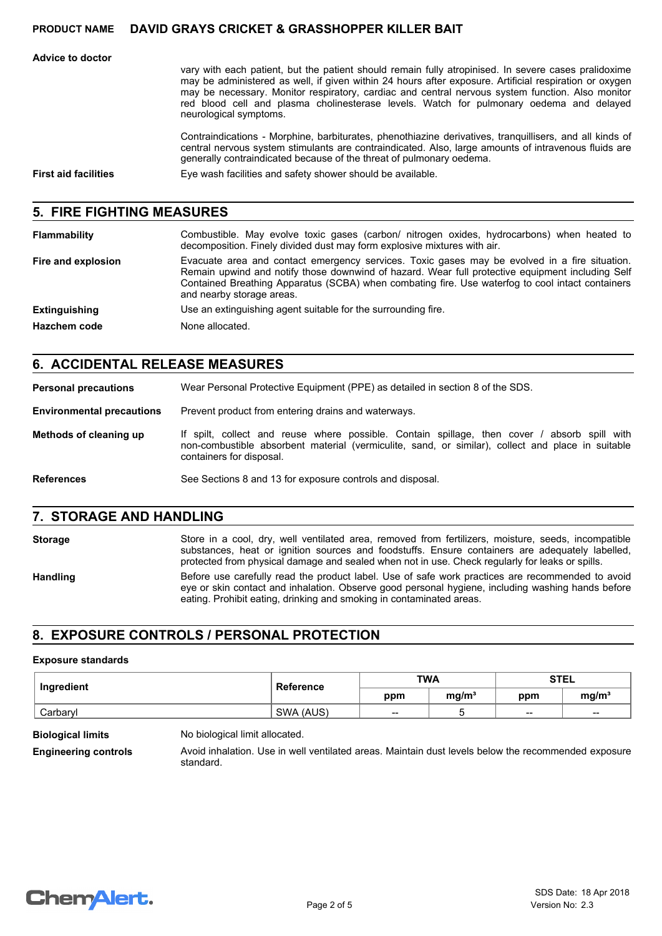**Advice to doctor**

vary with each patient, but the patient should remain fully atropinised. In severe cases pralidoxime may be administered as well, if given within 24 hours after exposure. Artificial respiration or oxygen may be necessary. Monitor respiratory, cardiac and central nervous system function. Also monitor red blood cell and plasma cholinesterase levels. Watch for pulmonary oedema and delayed neurological symptoms.

Contraindications - Morphine, barbiturates, phenothiazine derivatives, tranquillisers, and all kinds of central nervous system stimulants are contraindicated. Also, large amounts of intravenous fluids are generally contraindicated because of the threat of pulmonary oedema.

**First aid facilities** Eye wash facilities and safety shower should be available.

### **5. FIRE FIGHTING MEASURES**

| Flammability         | Combustible. May evolve toxic gases (carbon/ nitrogen oxides, hydrocarbons) when heated to<br>decomposition. Finely divided dust may form explosive mixtures with air.                                                                                                                                                             |
|----------------------|------------------------------------------------------------------------------------------------------------------------------------------------------------------------------------------------------------------------------------------------------------------------------------------------------------------------------------|
| Fire and explosion   | Evacuate area and contact emergency services. Toxic gases may be evolved in a fire situation.<br>Remain upwind and notify those downwind of hazard. Wear full protective equipment including Self<br>Contained Breathing Apparatus (SCBA) when combating fire. Use waterfog to cool intact containers<br>and nearby storage areas. |
| <b>Extinguishing</b> | Use an extinguishing agent suitable for the surrounding fire.                                                                                                                                                                                                                                                                      |
| <b>Hazchem code</b>  | None allocated.                                                                                                                                                                                                                                                                                                                    |

## **6. ACCIDENTAL RELEASE MEASURES**

**Personal precautions** Wear Personal Protective Equipment (PPE) as detailed in section 8 of the SDS.

**Environmental precautions** Prevent product from entering drains and waterways.

- If spilt, collect and reuse where possible. Contain spillage, then cover / absorb spill with non-combustible absorbent material (vermiculite, sand, or similar), collect and place in suitable containers for disposal. **Methods of cleaning up**
- **References** See Sections 8 and 13 for exposure controls and disposal.

### **7. STORAGE AND HANDLING**

Storage Store in a cool, dry, well ventilated area, removed from fertilizers, moisture, seeds, incompatible substances, heat or ignition sources and foodstuffs. Ensure containers are adequately labelled, protected from physical damage and sealed when not in use. Check regularly for leaks or spills.

Handling Before use carefully read the product label. Use of safe work practices are recommended to avoid eye or skin contact and inhalation. Observe good personal hygiene, including washing hands before eating. Prohibit eating, drinking and smoking in contaminated areas.

## **8. EXPOSURE CONTROLS / PERSONAL PROTECTION**

#### **Exposure standards**

| Ingredient | <b>Reference</b> | <b>TWA</b> |                   | <b>STEL</b> |                   |
|------------|------------------|------------|-------------------|-------------|-------------------|
|            |                  | ppm        | mq/m <sup>3</sup> | ppm         | mg/m <sup>3</sup> |
| Carbaryl   | SWA (AUS)        | --         |                   | $- -$       | $-$               |

**Biological limits** No biological limit allocated.

**Engineering controls** Avoid inhalation. Use in well ventilated areas. Maintain dust levels below the recommended exposure standard.

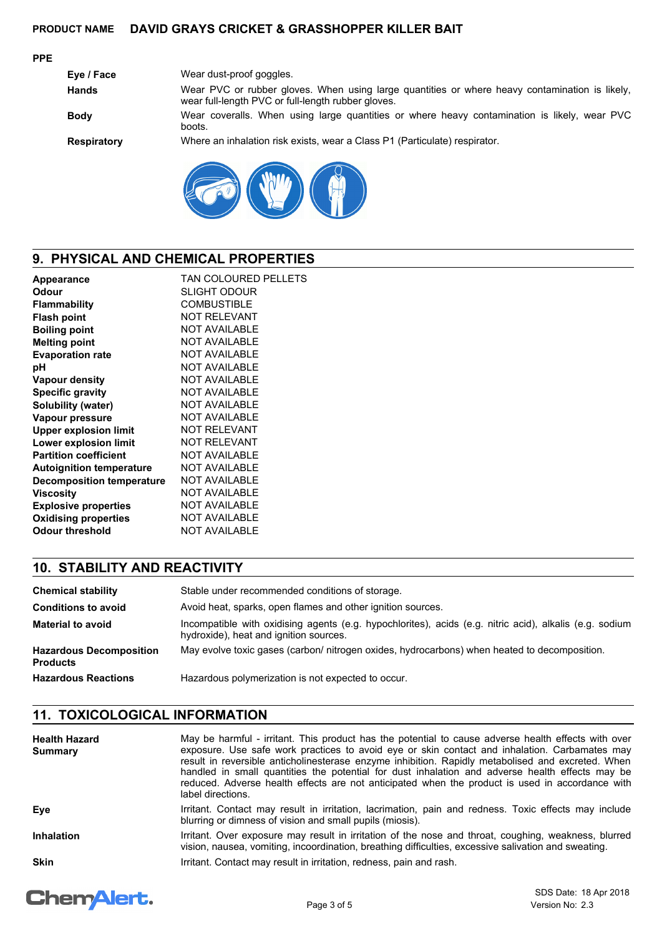### **PPE**

| Eye / Face         | Wear dust-proof goggles.                                                                                                                             |
|--------------------|------------------------------------------------------------------------------------------------------------------------------------------------------|
| <b>Hands</b>       | Wear PVC or rubber gloves. When using large quantities or where heavy contamination is likely,<br>wear full-length PVC or full-length rubber gloves. |
| <b>Body</b>        | Wear coveralls. When using large quantities or where heavy contamination is likely, wear PVC<br>boots.                                               |
| <b>Respiratory</b> | Where an inhalation risk exists, wear a Class P1 (Particulate) respirator.                                                                           |
|                    |                                                                                                                                                      |



# **9. PHYSICAL AND CHEMICAL PROPERTIES**

| TAN COLOURED PELLETS |
|----------------------|
| SLIGHT ODOUR         |
| <b>COMBUSTIBLE</b>   |
| <b>NOT RELEVANT</b>  |
| <b>NOT AVAILABLE</b> |
| <b>NOT AVAILABLE</b> |
| <b>NOT AVAILABLE</b> |
| <b>NOT AVAILABLE</b> |
| <b>NOT AVAILABLE</b> |
| <b>NOT AVAILABLE</b> |
| <b>NOT AVAILABLE</b> |
| <b>NOT AVAILABLE</b> |
| <b>NOT RELEVANT</b>  |
| <b>NOT RELEVANT</b>  |
| <b>NOT AVAILABLE</b> |
| <b>NOT AVAILABLE</b> |
| <b>NOT AVAILABLE</b> |
| <b>NOT AVAILABLE</b> |
| <b>NOT AVAILABLE</b> |
| <b>NOT AVAILABLE</b> |
| <b>NOT AVAILABLE</b> |
|                      |

# **10. STABILITY AND REACTIVITY**

| <b>Chemical stability</b>                         | Stable under recommended conditions of storage.                                                                                                   |
|---------------------------------------------------|---------------------------------------------------------------------------------------------------------------------------------------------------|
| <b>Conditions to avoid</b>                        | Avoid heat, sparks, open flames and other ignition sources.                                                                                       |
| <b>Material to avoid</b>                          | Incompatible with oxidising agents (e.g. hypochlorites), acids (e.g. nitric acid), alkalis (e.g. sodium<br>hydroxide), heat and ignition sources. |
| <b>Hazardous Decomposition</b><br><b>Products</b> | May evolve toxic gases (carbon/ nitrogen oxides, hydrocarbons) when heated to decomposition.                                                      |
| <b>Hazardous Reactions</b>                        | Hazardous polymerization is not expected to occur.                                                                                                |

# **11. TOXICOLOGICAL INFORMATION**

| <b>Health Hazard</b><br><b>Summary</b> | May be harmful - irritant. This product has the potential to cause adverse health effects with over<br>exposure. Use safe work practices to avoid eye or skin contact and inhalation. Carbamates may<br>result in reversible anticholinesterase enzyme inhibition. Rapidly metabolised and excreted. When<br>handled in small quantities the potential for dust inhalation and adverse health effects may be<br>reduced. Adverse health effects are not anticipated when the product is used in accordance with<br>label directions. |
|----------------------------------------|--------------------------------------------------------------------------------------------------------------------------------------------------------------------------------------------------------------------------------------------------------------------------------------------------------------------------------------------------------------------------------------------------------------------------------------------------------------------------------------------------------------------------------------|
| Eye                                    | Irritant. Contact may result in irritation, lacrimation, pain and redness. Toxic effects may include<br>blurring or dimness of vision and small pupils (miosis).                                                                                                                                                                                                                                                                                                                                                                     |
| <b>Inhalation</b>                      | Irritant. Over exposure may result in irritation of the nose and throat, coughing, weakness, blurred<br>vision, nausea, vomiting, incoordination, breathing difficulties, excessive salivation and sweating.                                                                                                                                                                                                                                                                                                                         |
| <b>Skin</b>                            | Irritant. Contact may result in irritation, redness, pain and rash.                                                                                                                                                                                                                                                                                                                                                                                                                                                                  |

# **ChemAlert.**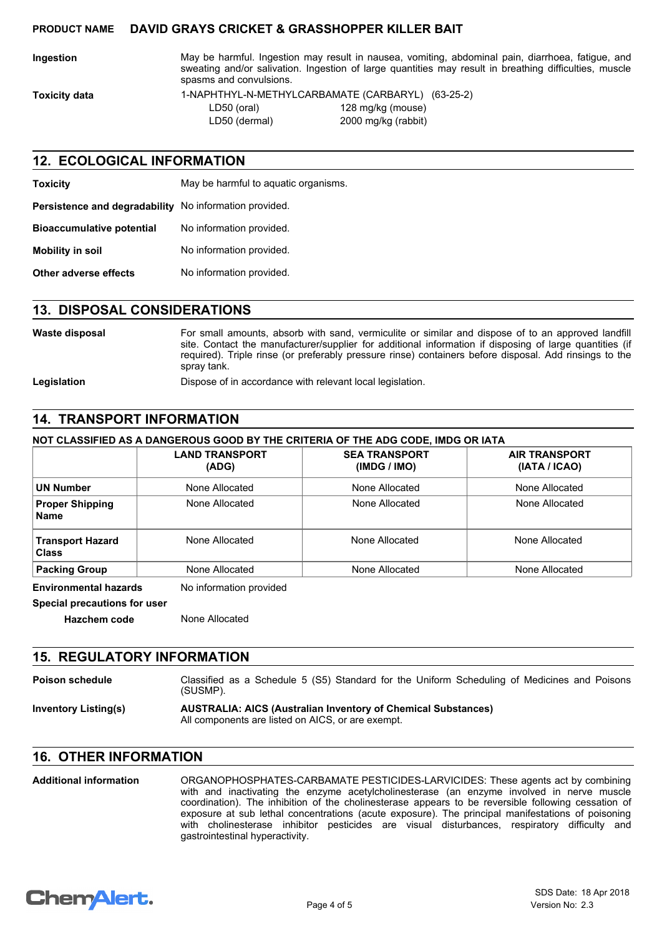**Ingestion** May be harmful. Ingestion may result in nausea, vomiting, abdominal pain, diarrhoea, fatigue, and sweating and/or salivation. Ingestion of large quantities may result in breathing difficulties, muscle spasms and convulsions.

**Toxicity data** 1-NAPHTHYL-N-METHYLCARBAMATE (CARBARYL) (63-25-2) LD50 (oral) 128 mg/kg (mouse) LD50 (dermal) 2000 mg/kg (rabbit)

### **12. ECOLOGICAL INFORMATION**

| <b>Toxicity</b>                                        | May be harmful to aquatic organisms. |
|--------------------------------------------------------|--------------------------------------|
| Persistence and degradability No information provided. |                                      |
| <b>Bioaccumulative potential</b>                       | No information provided.             |
| <b>Mobility in soil</b>                                | No information provided.             |
| Other adverse effects                                  | No information provided.             |

## **13. DISPOSAL CONSIDERATIONS**

| Waste disposal | For small amounts, absorb with sand, vermiculite or similar and dispose of to an approved landfill<br>site. Contact the manufacturer/supplier for additional information if disposing of large quantities (if<br>required). Triple rinse (or preferably pressure rinse) containers before disposal. Add rinsings to the<br>spray tank. |
|----------------|----------------------------------------------------------------------------------------------------------------------------------------------------------------------------------------------------------------------------------------------------------------------------------------------------------------------------------------|
| Legislation    | Dispose of in accordance with relevant local legislation.                                                                                                                                                                                                                                                                              |

# **14. TRANSPORT INFORMATION**

### **NOT CLASSIFIED AS A DANGEROUS GOOD BY THE CRITERIA OF THE ADG CODE, IMDG OR IATA**

|                                         | <b>LAND TRANSPORT</b><br>(ADG) | <b>SEA TRANSPORT</b><br>(IMDG / IMO) | <b>AIR TRANSPORT</b><br>(IATA / ICAO) |
|-----------------------------------------|--------------------------------|--------------------------------------|---------------------------------------|
| <b>UN Number</b>                        | None Allocated                 | None Allocated                       | None Allocated                        |
| <b>Proper Shipping</b><br><b>Name</b>   | None Allocated                 | None Allocated                       | None Allocated                        |
| <b>Transport Hazard</b><br><b>Class</b> | None Allocated                 | None Allocated                       | None Allocated                        |
| <b>Packing Group</b>                    | None Allocated                 | None Allocated                       | None Allocated                        |

**Special precautions for user**

**Hazchem code** None Allocated

### **15. REGULATORY INFORMATION**

**Poison schedule** Classified as a Schedule 5 (S5) Standard for the Uniform Scheduling of Medicines and Poisons (SUSMP).

#### **Inventory Listing(s) AUSTRALIA: AICS (Australian Inventory of Chemical Substances)** All components are listed on AICS, or are exempt.

# **16. OTHER INFORMATION**

ORGANOPHOSPHATES-CARBAMATE PESTICIDES-LARVICIDES: These agents act by combining with and inactivating the enzyme acetylcholinesterase (an enzyme involved in nerve muscle coordination). The inhibition of the cholinesterase appears to be reversible following cessation of exposure at sub lethal concentrations (acute exposure). The principal manifestations of poisoning with cholinesterase inhibitor pesticides are visual disturbances, respiratory difficulty and gastrointestinal hyperactivity. **Additional information**